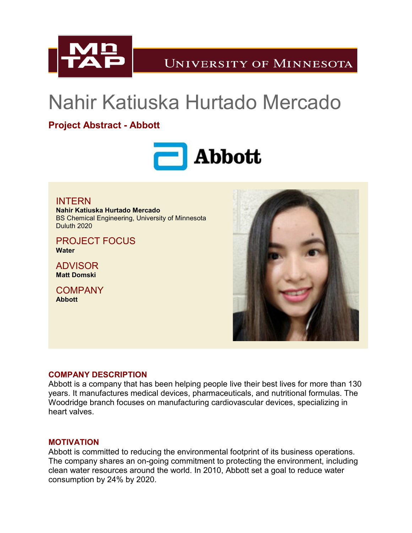

**UNIVERSITY OF MINNESOTA** 

# Nahir Katiuska Hurtado Mercado

## **Project Abstract - Abbott**



INTERN **Nahir Katiuska Hurtado Mercado** BS Chemical Engineering, University of Minnesota Duluth 2020

PROJECT FOCUS **Water**

ADVISOR **Matt Domski**

**COMPANY Abbott**



### **COMPANY DESCRIPTION**

Abbott is a company that has been helping people live their best lives for more than 130 years. It manufactures medical devices, pharmaceuticals, and nutritional formulas. The Woodridge branch focuses on manufacturing cardiovascular devices, specializing in heart valves.

#### **MOTIVATION**

Abbott is committed to reducing the environmental footprint of its business operations. The company shares an on-going commitment to protecting the environment, including clean water resources around the world. In 2010, Abbott set a goal to reduce water consumption by 24% by 2020.